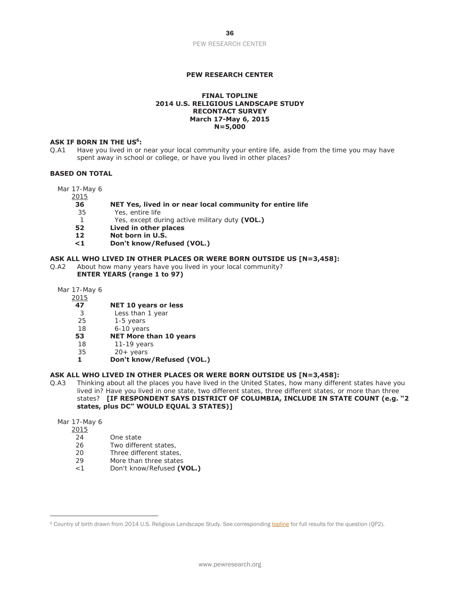# **PEW RESEARCH CENTER**

#### **FINAL TOPLINE 2014 U.S. RELIGIOUS LANDSCAPE STUDY RECONTACT SURVEY March 17-May 6, 2015 N=5,000**

#### ASK IF BORN IN THE US<sup>6</sup>:

Q.A1 Have you lived in or near your local community your entire life, aside from the time you may have spent away in school or college, or have you lived in other places?

### **BASED ON TOTAL**

Mar 17-May 6

2015

#### **36 NET Yes, lived in or near local community for entire life**

- 35 Yes, entire life
- 1 Yes, except during active military duty **(VOL.)**
- **52 Lived in other places**
- **12 Not born in U.S.**
- **<1 Don't know/Refused (VOL.)**

#### **ASK ALL WHO LIVED IN OTHER PLACES OR WERE BORN OUTSIDE US [N=3,458]:**

- Q.A2 About how many years have you lived in your local community? **ENTER YEARS (range 1 to 97)**
	- Mar 17-May 6
		- 2015

### **47 NET 10 years or less**

- 3 Less than 1 year
- 25 1-5 years
- 18 6-10 years
- **53 NET More than 10 years**
- 18 11-19 years
- 35 20+ years
- **1 Don't know/Refused (VOL.)**

#### **ASK ALL WHO LIVED IN OTHER PLACES OR WERE BORN OUTSIDE US [N=3,458]:**

- Q.A3 Thinking about all the places you have lived in the United States, how many different states have you lived in? Have you lived in one state, two different states, three different states, or more than three states? **[IF RESPONDENT SAYS DISTRICT OF COLUMBIA, INCLUDE IN STATE COUNT (e.g. "2 states, plus DC" WOULD EQUAL 3 STATES)]**
	- Mar 17-May 6

 $\overline{a}$ 

- 2015
	- 24 One state
	- 26 Two different states,
	- 20 Three different states,
	- 29 More than three states
	- <1 Don't know/Refused **(VOL.)**

<sup>&</sup>lt;sup>6</sup> Country of birth drawn from 2014 U.S. Religious Landscape Study. See corresponding **topline** for full results for the question (QP2).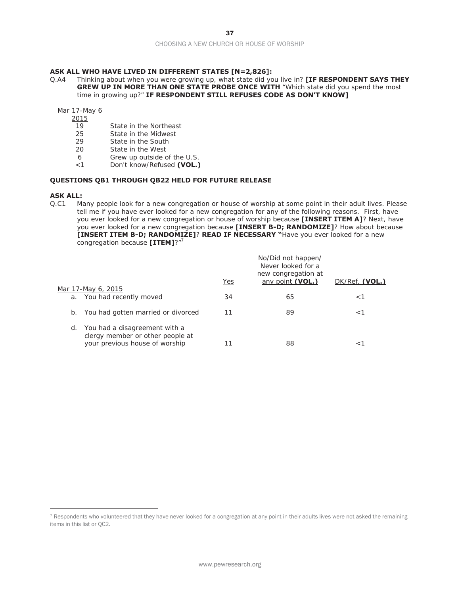#### **ASK ALL WHO HAVE LIVED IN DIFFERENT STATES [N=2,826]:**

Q.A4 Thinking about when you were growing up, what state did you live in? **[IF RESPONDENT SAYS THEY GREW UP IN MORE THAN ONE STATE PROBE ONCE WITH "Which state did you spend the most** time in growing up?" **IF RESPONDENT STILL REFUSES CODE AS DON'T KNOW]** 

Mar 17-May 6

- 2015
- 19 State in the Northeast
- 25 State in the Midwest
- 29 State in the South
- 20 State in the West
- 6 Grew up outside of the U.S.
- <1 Don't know/Refused **(VOL.)**

#### **QUESTIONS QB1 THROUGH QB22 HELD FOR FUTURE RELEASE**

#### **ASK ALL:**

 $\overline{a}$ 

Q.C1 Many people look for a new congregation or house of worship at some point in their adult lives. Please tell me if you have ever looked for a new congregation for any of the following reasons. First, have you ever looked for a new congregation or house of worship because **[INSERT ITEM A]**? Next, have you ever looked for a new congregation because **[INSERT B-D; RANDOMIZE]**? How about because **[INSERT ITEM B-D; RANDOMIZE]**? **READ IF NECESSARY "**Have you ever looked for a new congregation because **[ITEM]**?"7

|    |                                    |     | No/Did not happen/<br>Never looked for a<br>new congregation at |                |
|----|------------------------------------|-----|-----------------------------------------------------------------|----------------|
|    |                                    | Yes | any point (VOL.)                                                | DK/Ref. (VOL.) |
|    | Mar 17-May 6, 2015                 |     |                                                                 |                |
|    | a. You had recently moved          | 34  | 65                                                              | < 1            |
|    |                                    |     |                                                                 |                |
| b. | You had gotten married or divorced | 11  | 89                                                              | - 1            |
|    |                                    |     |                                                                 |                |
| d. | You had a disagreement with a      |     |                                                                 |                |
|    | clergy member or other people at   |     |                                                                 |                |
|    | your previous house of worship     | 11  | 88                                                              |                |
|    |                                    |     |                                                                 |                |

<sup>7</sup> Respondents who volunteered that they have never looked for a congregation at any point in their adults lives were not asked the remaining items in this list or QC2.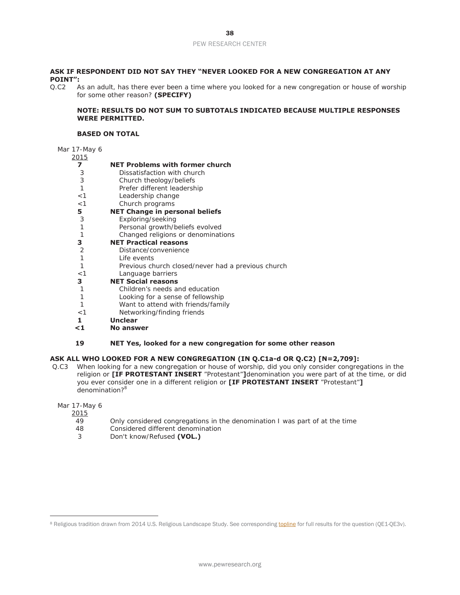### **ASK IF RESPONDENT DID NOT SAY THEY "NEVER LOOKED FOR A NEW CONGREGATION AT ANY POINT":**

Q.C2 As an adult, has there ever been a time where you looked for a new congregation or house of worship for some other reason? **(SPECIFY)**

## **NOTE: RESULTS DO NOT SUM TO SUBTOTALS INDICATED BECAUSE MULTIPLE RESPONSES WERE PERMITTED.**

### **BASED ON TOTAL**

# Mar 17-May 6

| 2015         |                                                              |
|--------------|--------------------------------------------------------------|
| 7            | <b>NET Problems with former church</b>                       |
| 3            | Dissatisfaction with church                                  |
| 3            | Church theology/beliefs                                      |
| 1            | Prefer different leadership                                  |
| < 1          | Leadership change                                            |
| $<$ 1        | Church programs                                              |
| 5            | <b>NET Change in personal beliefs</b>                        |
| 3            | Exploring/seeking                                            |
| 1            | Personal growth/beliefs evolved                              |
| $\mathbf{1}$ | Changed religions or denominations                           |
| 3            | <b>NET Practical reasons</b>                                 |
| 2            | Distance/convenience                                         |
| 1            | I ife events                                                 |
| $\mathbf{1}$ | Previous church closed/never had a previous church           |
| $<$ 1        | Language barriers                                            |
| 3            | <b>NET Social reasons</b>                                    |
| 1            | Children's needs and education                               |
| 1            | Looking for a sense of fellowship                            |
| 1            | Want to attend with friends/family                           |
| $<$ 1        | Networking/finding friends                                   |
| 1            | <b>Unclear</b>                                               |
| $\leq 1$     | No answer                                                    |
|              |                                                              |
| 19           | NET Yes, looked for a new congregation for some other reason |
|              |                                                              |

# **ASK ALL WHO LOOKED FOR A NEW CONGREGATION (IN Q.C1a-d OR Q.C2) [N=2,709]:**

 Q.C3 When looking for a new congregation or house of worship, did you only consider congregations in the religion or **[IF PROTESTANT INSERT** "Protestant"**]**denomination you were part of at the time, or did you ever consider one in a different religion or **[IF PROTESTANT INSERT** "Protestant"**]** denomination?<sup>8</sup>

# Mar 17-May 6

 $\frac{2015}{49}$ 

 $\overline{a}$ 

- Only considered congregations in the denomination I was part of at the time
- 48 Considered different denomination
- 3 Don't know/Refused **(VOL.)**

<sup>&</sup>lt;sup>8</sup> Religious tradition drawn from 2014 U.S. Religious Landscape Study. See corresponding **topline** for full results for the question (QE1-QE3v).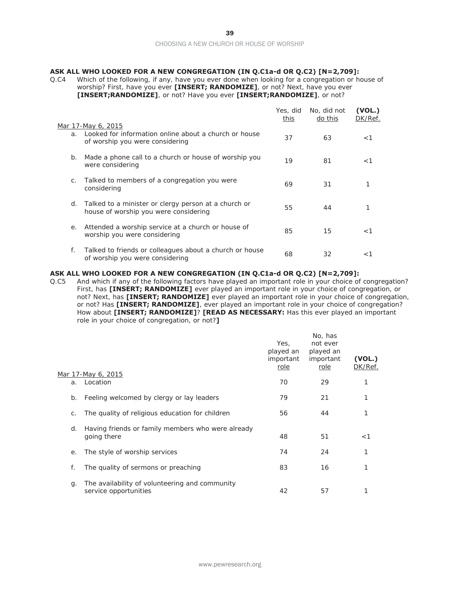# **ASK ALL WHO LOOKED FOR A NEW CONGREGATION (IN Q.C1a-d OR Q.C2) [N=2,709]:**

Q.C4 Which of the following, if any, have you ever done when looking for a congregation or house of worship? First, have you ever **[INSERT; RANDOMIZE]**, or not? Next, have you ever **[INSERT;RANDOMIZE]**, or not? Have you ever **[INSERT;RANDOMIZE]**, or not?

|    | Mar 17-May 6, 2015                                                                            | Yes, did<br>this | No, did not<br>do this | (VOL.)<br>DK/Ref. |
|----|-----------------------------------------------------------------------------------------------|------------------|------------------------|-------------------|
| a. | Looked for information online about a church or house<br>of worship you were considering      | 37               | 63                     | $<$ 1             |
| b. | Made a phone call to a church or house of worship you<br>were considering                     | 19               | 81                     | $<$ 1             |
| C. | Talked to members of a congregation you were<br>considering                                   | 69               | 31                     |                   |
| d. | Talked to a minister or clergy person at a church or<br>house of worship you were considering | 55               | 44                     |                   |
| е. | Attended a worship service at a church or house of<br>worship you were considering            | 85               | 15                     | $<$ 1             |
| f. | Talked to friends or colleagues about a church or house<br>of worship you were considering    | 68               | 32                     | $<$ 1             |

#### **ASK ALL WHO LOOKED FOR A NEW CONGREGATION (IN Q.C1a-d OR Q.C2) [N=2,709]:**

Q.C5 And which if any of the following factors have played an important role in your choice of congregation? First, has **[INSERT; RANDOMIZE]** ever played an important role in your choice of congregation, or not? Next, has **[INSERT; RANDOMIZE]** ever played an important role in your choice of congregation, or not? Has **[INSERT; RANDOMIZE]**, ever played an important role in your choice of congregation? How about **[INSERT; RANDOMIZE]**? **[READ AS NECESSARY:** Has this ever played an important role in your choice of congregation, or not?**]**

|    |                                                                         | Yes,<br>played an<br>important<br>role | No, has<br>not ever<br>played an<br>important<br>role | (VOL.)<br>DK/Ref. |
|----|-------------------------------------------------------------------------|----------------------------------------|-------------------------------------------------------|-------------------|
| a. | Mar 17-May 6, 2015<br>Location                                          | 70                                     | 29                                                    |                   |
| b. | Feeling welcomed by clergy or lay leaders                               | 79                                     | 21                                                    | 1                 |
| C. | The quality of religious education for children                         | 56                                     | 44                                                    | 1                 |
| d. | Having friends or family members who were already<br>going there        | 48                                     | 51                                                    | $<$ 1             |
| е. | The style of worship services                                           | 74                                     | 24                                                    | 1                 |
| f. | The quality of sermons or preaching                                     | 83                                     | 16                                                    | 1                 |
| g. | The availability of volunteering and community<br>service opportunities | 42                                     | 57                                                    |                   |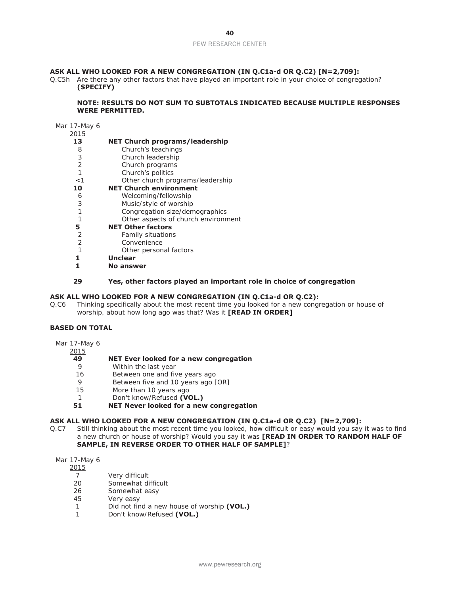## **ASK ALL WHO LOOKED FOR A NEW CONGREGATION (IN Q.C1a-d OR Q.C2) [N=2,709]:**

Q.C5h Are there any other factors that have played an important role in your choice of congregation? **(SPECIFY)**

### **NOTE: RESULTS DO NOT SUM TO SUBTOTALS INDICATED BECAUSE MULTIPLE RESPONSES WERE PERMITTED.**

#### Mar 17-May 6

| 2015 |                                       |
|------|---------------------------------------|
| 13   | <b>NET Church programs/leadership</b> |
| 8    | Church's teachings                    |
| 3    | Church leadership                     |
| 2    | Church programs                       |
| 1    | Church's politics                     |
| < 1  | Other church programs/leadership      |
| 10   | <b>NET Church environment</b>         |
| 6    | Welcoming/fellowship                  |
| 3    | Music/style of worship                |
| 1    | Congregation size/demographics        |
| 1    | Other aspects of church environment   |
| 5    | <b>NET Other factors</b>              |
| 2    | <b>Family situations</b>              |
| 2    | Convenience                           |
| 1    | Other personal factors                |
|      | <b>Unclear</b>                        |
|      | No answer                             |

### **29 Yes, other factors played an important role in choice of congregation**

### **ASK ALL WHO LOOKED FOR A NEW CONGREGATION (IN Q.C1a-d OR Q.C2):**

Q.C6 Thinking specifically about the most recent time you looked for a new congregation or house of worship, about how long ago was that? Was it **[READ IN ORDER]**

### **BASED ON TOTAL**

Mar 17-May 6

# 2015

- **49 NET Ever looked for a new congregation**
- 9 Within the last year
- 16 Between one and five years ago
- 9 Between five and 10 years ago [OR]<br>15 More than 10 years ago
- More than 10 years ago
- 1 Don't know/Refused **(VOL.)**

# **51 NET Never looked for a new congregation**

# **ASK ALL WHO LOOKED FOR A NEW CONGREGATION (IN Q.C1a-d OR Q.C2) [N=2,709]:**

Q.C7 Still thinking about the most recent time you looked, how difficult or easy would you say it was to find a new church or house of worship? Would you say it was **[READ IN ORDER TO RANDOM HALF OF SAMPLE, IN REVERSE ORDER TO OTHER HALF OF SAMPLE]**?

#### Mar 17-May 6

- $\frac{2015}{7}$
- 7 Very difficult<br>20 Somewhat di
- Somewhat difficult
- 26 Somewhat easy
- 45 Very easy
- 1 Did not find a new house of worship **(VOL.)**
- 1 Don't know/Refused **(VOL.)**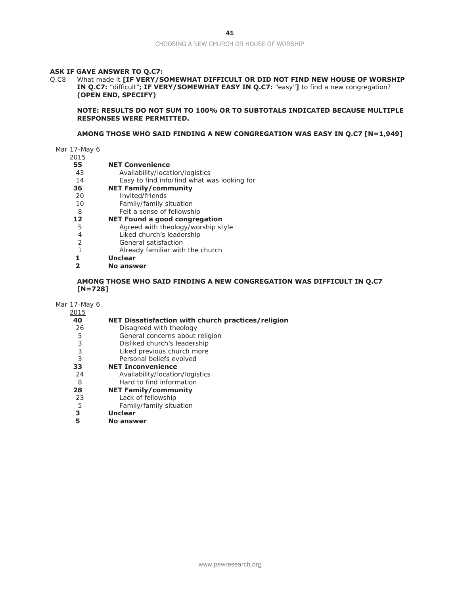#### **ASK IF GAVE ANSWER TO Q.C7:**

Q.C8 What made it **[IF VERY/SOMEWHAT DIFFICULT OR DID NOT FIND NEW HOUSE OF WORSHIP IN Q.C7:** "difficult"**; IF VERY/SOMEWHAT EASY IN Q.C7:** "easy"**]** to find a new congregation? **(OPEN END, SPECIFY)** 

**NOTE: RESULTS DO NOT SUM TO 100% OR TO SUBTOTALS INDICATED BECAUSE MULTIPLE RESPONSES WERE PERMITTED.** 

### **AMONG THOSE WHO SAID FINDING A NEW CONGREGATION WAS EASY IN Q.C7 [N=1,949]**

Mar 17-May 6

- $\frac{2015}{55}$ 
	- **55 NET Convenience**
	- 43 Availability/location/logistics
	- 14 Easy to find info/find what was looking for
- **36 NET Family/community**
- 20 Invited/friends
- 10 Family/family situation
- 8 Felt a sense of fellowship<br> **12 NET Found a good congre**
- **12 NET Found a good congregation**
- 5 Agreed with theology/worship style<br>4 liked church's leadership
	- Liked church's leadership
- 2 General satisfaction
- 1 Already familiar with the church
- **1 Unclear**
- **2 No answer**

# **AMONG THOSE WHO SAID FINDING A NEW CONGREGATION WAS DIFFICULT IN Q.C7 [N=728]**

Mar 17-May 6

| 2015 |                                                    |
|------|----------------------------------------------------|
| 40   | NET Dissatisfaction with church practices/religion |
| 26   | Disagreed with theology                            |
| 5    | General concerns about religion                    |
| 3    | Disliked church's leadership                       |
| 3    | Liked previous church more                         |
| 3    | Personal beliefs evolved                           |
| 33   | <b>NET Inconvenience</b>                           |
| 24   | Availability/location/logistics                    |
| 8    | Hard to find information                           |
| 28   | <b>NET Family/community</b>                        |
| 23   | Lack of fellowship                                 |
| 5    | Family/family situation                            |
| З    | <b>Unclear</b>                                     |
| 5    | No answer                                          |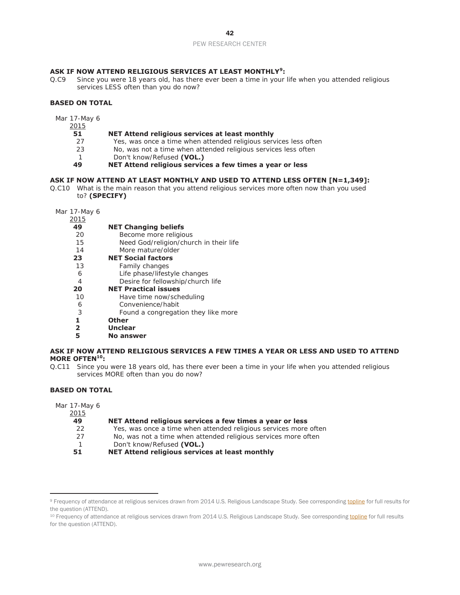### PEW RESEARCH CENTER

### **ASK IF NOW ATTEND RELIGIOUS SERVICES AT LEAST MONTHLY<sup>9</sup> :**

Q.C9 Since you were 18 years old, has there ever been a time in your life when you attended religious services LESS often than you do now?

### **BASED ON TOTAL**

Mar 17-May 6

2015

#### **51 NET Attend religious services at least monthly**

- 27 Yes, was once a time when attended religious services less often
- 23 No, was not a time when attended religious services less often
- 1 Don't know/Refused **(VOL.)**

**49 NET Attend religious services a few times a year or less** 

#### **ASK IF NOW ATTEND AT LEAST MONTHLY AND USED TO ATTEND LESS OFTEN [N=1,349]:**

Q.C10 What is the main reason that you attend religious services more often now than you used to? **(SPECIFY)**

Mar 17-May 6

| 2015           |                                        |
|----------------|----------------------------------------|
| 49             | <b>NET Changing beliefs</b>            |
| 20             | Become more religious                  |
| 15             | Need God/religion/church in their life |
| 14             | More mature/older                      |
| 23             | <b>NET Social factors</b>              |
| 13             | Family changes                         |
| 6              | Life phase/lifestyle changes           |
| 4              | Desire for fellowship/church life      |
| 20             | <b>NET Practical issues</b>            |
| 10             | Have time now/scheduling               |
| 6              | Convenience/habit                      |
| 3              | Found a congregation they like more    |
| 1              | <b>Other</b>                           |
| $\overline{2}$ | <b>Unclear</b>                         |
| 5              | No answer                              |
|                |                                        |

### **ASK IF NOW ATTEND RELIGIOUS SERVICES A FEW TIMES A YEAR OR LESS AND USED TO ATTEND MORE OFTEN10:**

Q.C11 Since you were 18 years old, has there ever been a time in your life when you attended religious services MORE often than you do now?

# **BASED ON TOTAL**

Mar 17-May 6

 $\overline{a}$ 

| 2015 |                                                                  |
|------|------------------------------------------------------------------|
| 49   | NET Attend religious services a few times a year or less         |
| 22   | Yes, was once a time when attended religious services more often |
| 27   | No, was not a time when attended religious services more often   |
|      | Don't know/Refused (VOL.)                                        |
| 51   | NET Attend religious services at least monthly                   |

<sup>9</sup> Frequency of attendance at religious services drawn from 2014 U.S. Religious Landscape Study. See corresponding topline for full results for the question (ATTEND).

<sup>10</sup> Frequency of attendance at religious services drawn from 2014 U.S. Religious Landscape Study. See corresponding topline for full results for the question (ATTEND).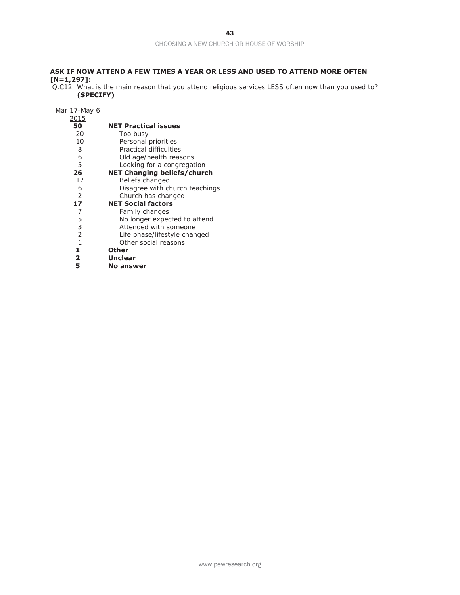# **ASK IF NOW ATTEND A FEW TIMES A YEAR OR LESS AND USED TO ATTEND MORE OFTEN [N=1,297]:**

Q.C12 What is the main reason that you attend religious services LESS often now than you used to? **(SPECIFY)**

Mar 17-May 6

| 2015           |                                    |
|----------------|------------------------------------|
| 50             | <b>NET Practical issues</b>        |
| 20             | Too busy                           |
| 10             | Personal priorities                |
| 8              | Practical difficulties             |
| 6              | Old age/health reasons             |
| 5              | Looking for a congregation         |
| 26             | <b>NET Changing beliefs/church</b> |
| 17             | Beliefs changed                    |
| 6              | Disagree with church teachings     |
| 2              | Church has changed                 |
| 17             | <b>NET Social factors</b>          |
| 7              | Family changes                     |
| 5              | No longer expected to attend       |
| 3              | Attended with someone              |
| $\overline{2}$ | Life phase/lifestyle changed       |
| $\mathbf{1}$   | Other social reasons               |
| 1              | <b>Other</b>                       |
| $\mathbf{2}$   | <b>Unclear</b>                     |
| 5              | <b>No answer</b>                   |
|                |                                    |